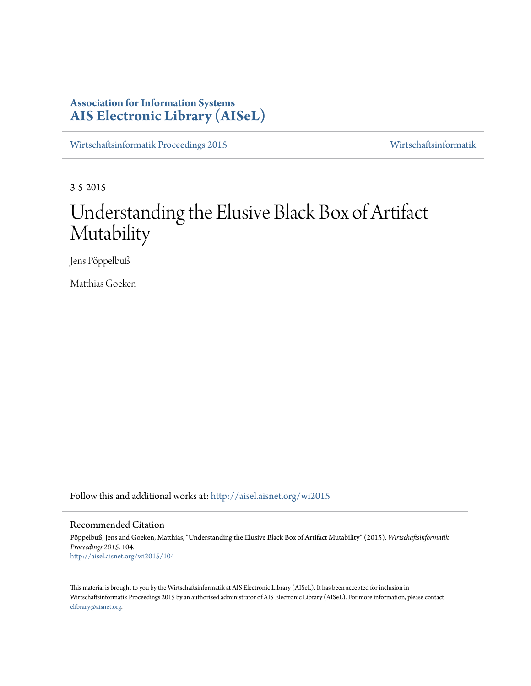# **Association for Information Systems [AIS Electronic Library \(AISeL\)](http://aisel.aisnet.org?utm_source=aisel.aisnet.org%2Fwi2015%2F104&utm_medium=PDF&utm_campaign=PDFCoverPages)**

[Wirtschaftsinformatik Proceedings 2015](http://aisel.aisnet.org/wi2015?utm_source=aisel.aisnet.org%2Fwi2015%2F104&utm_medium=PDF&utm_campaign=PDFCoverPages) [Wirtschaftsinformatik](http://aisel.aisnet.org/wi?utm_source=aisel.aisnet.org%2Fwi2015%2F104&utm_medium=PDF&utm_campaign=PDFCoverPages)

3-5-2015

# Understanding the Elusive Black Box of Artifact Mutability

Jens Pöppelbuß

Matthias Goeken

Follow this and additional works at: [http://aisel.aisnet.org/wi2015](http://aisel.aisnet.org/wi2015?utm_source=aisel.aisnet.org%2Fwi2015%2F104&utm_medium=PDF&utm_campaign=PDFCoverPages)

#### Recommended Citation

Pöppelbuß, Jens and Goeken, Matthias, "Understanding the Elusive Black Box of Artifact Mutability" (2015). *Wirtschaftsinformatik Proceedings 2015*. 104. [http://aisel.aisnet.org/wi2015/104](http://aisel.aisnet.org/wi2015/104?utm_source=aisel.aisnet.org%2Fwi2015%2F104&utm_medium=PDF&utm_campaign=PDFCoverPages)

This material is brought to you by the Wirtschaftsinformatik at AIS Electronic Library (AISeL). It has been accepted for inclusion in Wirtschaftsinformatik Proceedings 2015 by an authorized administrator of AIS Electronic Library (AISeL). For more information, please contact [elibrary@aisnet.org.](mailto:elibrary@aisnet.org%3E)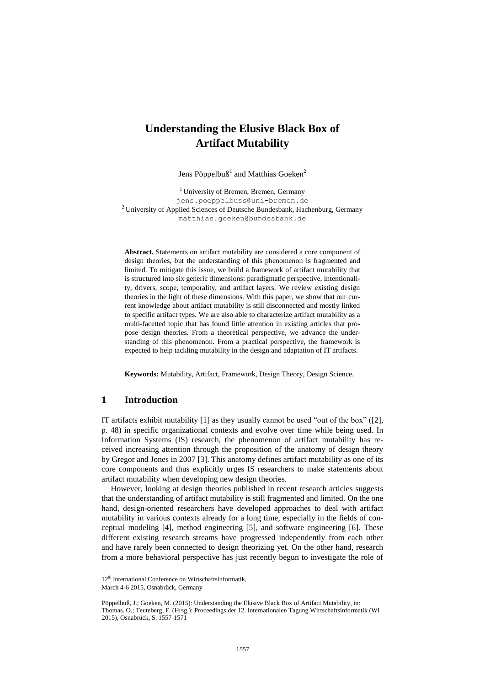# **Understanding the Elusive Black Box of Artifact Mutability**

Jens Pöppelbu $\beta^1$  and Matthias Goeken<sup>2</sup>

<sup>1</sup> University of Bremen, Bremen, Germany jens.poeppelbuss@uni-bremen.de <sup>2</sup> University of Applied Sciences of Deutsche Bundesbank, Hachenburg, Germany matthias.goeken@bundesbank.de

**Abstract.** Statements on artifact mutability are considered a core component of design theories, but the understanding of this phenomenon is fragmented and limited. To mitigate this issue, we build a framework of artifact mutability that is structured into six generic dimensions: paradigmatic perspective, intentionality, drivers, scope, temporality, and artifact layers. We review existing design theories in the light of these dimensions. With this paper, we show that our current knowledge about artifact mutability is still disconnected and mostly linked to specific artifact types. We are also able to characterize artifact mutability as a multi-facetted topic that has found little attention in existing articles that propose design theories. From a theoretical perspective, we advance the understanding of this phenomenon. From a practical perspective, the framework is expected to help tackling mutability in the design and adaptation of IT artifacts.

**Keywords:** Mutability, Artifact, Framework, Design Theory, Design Science.

#### **1 Introduction**

IT artifacts exhibit mutability  $[1]$  as they usually cannot be used "out of the box"  $[2]$ , p. 48) in specific organizational contexts and evolve over time while being used. In Information Systems (IS) research, the phenomenon of artifact mutability has received increasing attention through the proposition of the anatomy of design theory by Gregor and Jones in 2007 [3]. This anatomy defines artifact mutability as one of its core components and thus explicitly urges IS researchers to make statements about artifact mutability when developing new design theories.

However, looking at design theories published in recent research articles suggests that the understanding of artifact mutability is still fragmented and limited. On the one hand, design-oriented researchers have developed approaches to deal with artifact mutability in various contexts already for a long time, especially in the fields of conceptual modeling [4], method engineering [5], and software engineering [6]. These different existing research streams have progressed independently from each other and have rarely been connected to design theorizing yet. On the other hand, research from a more behavioral perspective has just recently begun to investigate the role of

March 4-6 2015, Osnabrück, Germany

Pöppelbuß, J.; Goeken, M. (2015): Understanding the Elusive Black Box of Artifact Mutability, in: Thomas. O.; Teuteberg, F. (Hrsg.): Proceedings der 12. Internationalen Tagung Wirtschaftsinformatik (WI 2015), Osnabrück, S. 1557-1571

<sup>12&</sup>lt;sup>th</sup> International Conference on Wirtschaftsinformatik,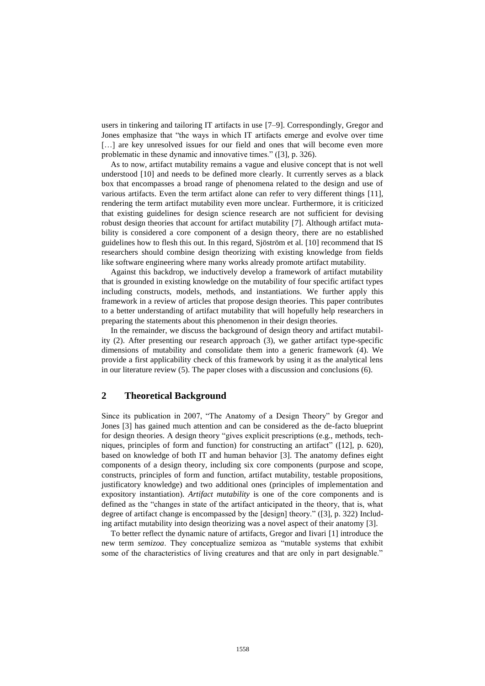users in tinkering and tailoring IT artifacts in use [7–9]. Correspondingly, Gregor and Jones emphasize that "the ways in which IT artifacts emerge and evolve over time [...] are key unresolved issues for our field and ones that will become even more problematic in these dynamic and innovative times." ([3], p. 326).

As to now, artifact mutability remains a vague and elusive concept that is not well understood [10] and needs to be defined more clearly. It currently serves as a black box that encompasses a broad range of phenomena related to the design and use of various artifacts. Even the term artifact alone can refer to very different things [11], rendering the term artifact mutability even more unclear. Furthermore, it is criticized that existing guidelines for design science research are not sufficient for devising robust design theories that account for artifact mutability [7]. Although artifact mutability is considered a core component of a design theory, there are no established guidelines how to flesh this out. In this regard, Sjöström et al. [10] recommend that IS researchers should combine design theorizing with existing knowledge from fields like software engineering where many works already promote artifact mutability.

Against this backdrop, we inductively develop a framework of artifact mutability that is grounded in existing knowledge on the mutability of four specific artifact types including constructs, models, methods, and instantiations. We further apply this framework in a review of articles that propose design theories. This paper contributes to a better understanding of artifact mutability that will hopefully help researchers in preparing the statements about this phenomenon in their design theories.

In the remainder, we discuss the background of design theory and artifact mutability (2). After presenting our research approach (3), we gather artifact type-specific dimensions of mutability and consolidate them into a generic framework (4). We provide a first applicability check of this framework by using it as the analytical lens in our literature review (5). The paper closes with a discussion and conclusions (6).

## **2 Theoretical Background**

Since its publication in 2007, "The Anatomy of a Design Theory" by Gregor and Jones [3] has gained much attention and can be considered as the de-facto blueprint for design theories. A design theory "gives explicit prescriptions (e.g., methods, techniques, principles of form and function) for constructing an artifact" ([12], p. 620), based on knowledge of both IT and human behavior [3]. The anatomy defines eight components of a design theory, including six core components (purpose and scope, constructs, principles of form and function, artifact mutability, testable propositions, justificatory knowledge) and two additional ones (principles of implementation and expository instantiation). *Artifact mutability* is one of the core components and is defined as the "changes in state of the artifact anticipated in the theory, that is, what degree of artifact change is encompassed by the [design] theory." ([3], p. 322) Including artifact mutability into design theorizing was a novel aspect of their anatomy [3].

To better reflect the dynamic nature of artifacts, Gregor and Iivari [1] introduce the new term *semizoa*. They conceptualize semizoa as "mutable systems that exhibit some of the characteristics of living creatures and that are only in part designable."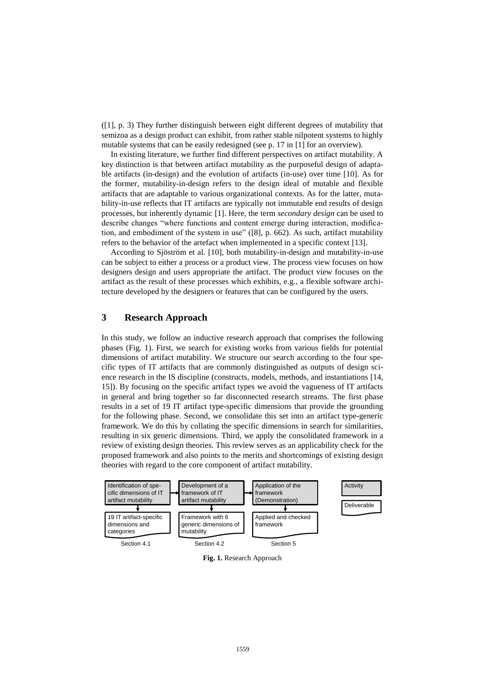([1], p. 3) They further distinguish between eight different degrees of mutability that semizoa as a design product can exhibit, from rather stable nilpotent systems to highly mutable systems that can be easily redesigned (see p. 17 in [1] for an overview).

In existing literature, we further find different perspectives on artifact mutability. A key distinction is that between artifact mutability as the purposeful design of adaptable artifacts (in-design) and the evolution of artifacts (in-use) over time [10]. As for the former, mutability-in-design refers to the design ideal of mutable and flexible artifacts that are adaptable to various organizational contexts. As for the latter, mutability-in-use reflects that IT artifacts are typically not immutable end results of design processes, but inherently dynamic [1]. Here, the term *secondary design* can be used to describe changes "where functions and content emerge during interaction, modification, and embodiment of the system in use" ([8], p. 662). As such, artifact mutability refers to the behavior of the artefact when implemented in a specific context [13].

According to Sjöström et al. [10], both mutability-in-design and mutability-in-use can be subject to either a process or a product view. The process view focuses on how designers design and users appropriate the artifact. The product view focuses on the artifact as the result of these processes which exhibits, e.g., a flexible software architecture developed by the designers or features that can be configured by the users.

# **3 Research Approach**

In this study, we follow an inductive research approach that comprises the following phases (Fig. 1). First, we search for existing works from various fields for potential dimensions of artifact mutability. We structure our search according to the four specific types of IT artifacts that are commonly distinguished as outputs of design science research in the IS discipline (constructs, models, methods, and instantiations [14, 15]). By focusing on the specific artifact types we avoid the vagueness of IT artifacts in general and bring together so far disconnected research streams. The first phase results in a set of 19 IT artifact type-specific dimensions that provide the grounding for the following phase. Second, we consolidate this set into an artifact type-generic framework. We do this by collating the specific dimensions in search for similarities, resulting in six generic dimensions. Third, we apply the consolidated framework in a review of existing design theories. This review serves as an applicability check for the proposed framework and also points to the merits and shortcomings of existing design theories with regard to the core component of artifact mutability.



**Fig. 1.** Research Approach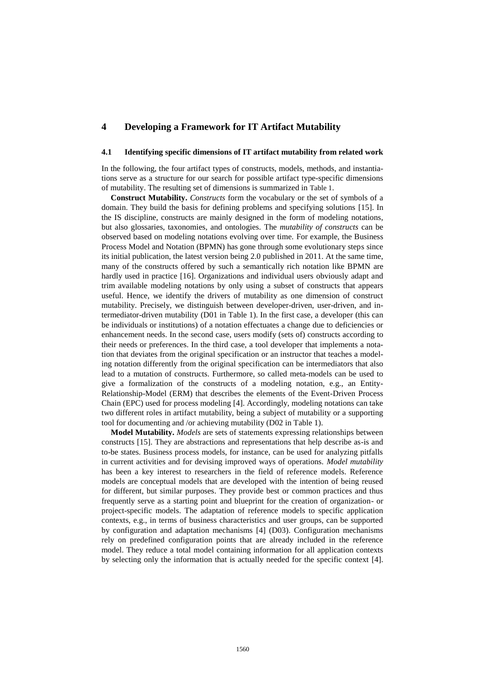# **4 Developing a Framework for IT Artifact Mutability**

#### **4.1 Identifying specific dimensions of IT artifact mutability from related work**

In the following, the four artifact types of constructs, models, methods, and instantiations serve as a structure for our search for possible artifact type-specific dimensions of mutability. The resulting set of dimensions is summarized in [Table 1](#page-7-0).

**Construct Mutability.** *Constructs* form the vocabulary or the set of symbols of a domain. They build the basis for defining problems and specifying solutions [15]. In the IS discipline, constructs are mainly designed in the form of modeling notations, but also glossaries, taxonomies, and ontologies. The *mutability of constructs* can be observed based on modeling notations evolving over time. For example, the Business Process Model and Notation (BPMN) has gone through some evolutionary steps since its initial publication, the latest version being 2.0 published in 2011. At the same time, many of the constructs offered by such a semantically rich notation like BPMN are hardly used in practice [16]. Organizations and individual users obviously adapt and trim available modeling notations by only using a subset of constructs that appears useful. Hence, we identify the drivers of mutability as one dimension of construct mutability. Precisely, we distinguish between developer-driven, user-driven, and intermediator-driven mutability (D01 in [Table 1\)](#page-7-0). In the first case, a developer (this can be individuals or institutions) of a notation effectuates a change due to deficiencies or enhancement needs. In the second case, users modify (sets of) constructs according to their needs or preferences. In the third case, a tool developer that implements a notation that deviates from the original specification or an instructor that teaches a modeling notation differently from the original specification can be intermediators that also lead to a mutation of constructs. Furthermore, so called meta-models can be used to give a formalization of the constructs of a modeling notation, e.g., an Entity-Relationship-Model (ERM) that describes the elements of the Event-Driven Process Chain (EPC) used for process modeling [4]. Accordingly, modeling notations can take two different roles in artifact mutability, being a subject of mutability or a supporting tool for documenting and /or achieving mutability (D02 in [Table 1\)](#page-7-0).

**Model Mutability.** *Models* are sets of statements expressing relationships between constructs [15]. They are abstractions and representations that help describe as-is and to-be states. Business process models, for instance, can be used for analyzing pitfalls in current activities and for devising improved ways of operations. *Model mutability* has been a key interest to researchers in the field of reference models. Reference models are conceptual models that are developed with the intention of being reused for different, but similar purposes. They provide best or common practices and thus frequently serve as a starting point and blueprint for the creation of organization- or project-specific models. The adaptation of reference models to specific application contexts, e.g., in terms of business characteristics and user groups, can be supported by configuration and adaptation mechanisms [4] (D03). Configuration mechanisms rely on predefined configuration points that are already included in the reference model. They reduce a total model containing information for all application contexts by selecting only the information that is actually needed for the specific context [4].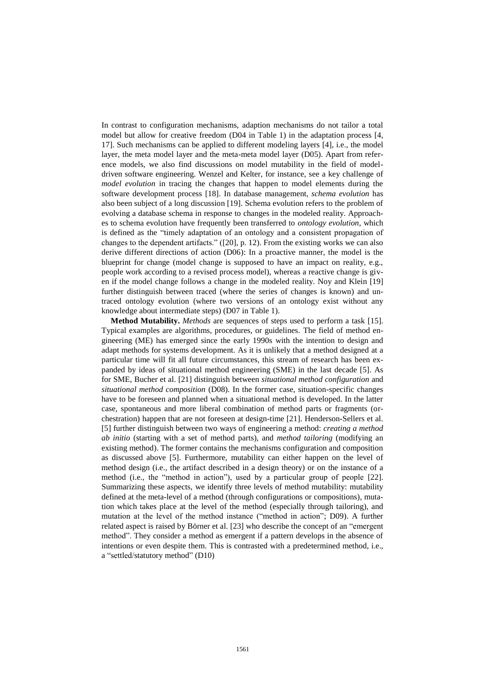In contrast to configuration mechanisms, adaption mechanisms do not tailor a total model but allow for creative freedom (D04 in [Table 1\)](#page-7-0) in the adaptation process [4, 17]. Such mechanisms can be applied to different modeling layers [4], i.e., the model layer, the meta model layer and the meta-meta model layer (D05). Apart from reference models, we also find discussions on model mutability in the field of modeldriven software engineering. Wenzel and Kelter, for instance, see a key challenge of *model evolution* in tracing the changes that happen to model elements during the software development process [18]. In database management, *schema evolution* has also been subject of a long discussion [19]. Schema evolution refers to the problem of evolving a database schema in response to changes in the modeled reality. Approaches to schema evolution have frequently been transferred to *ontology evolution,* which is defined as the "timely adaptation of an ontology and a consistent propagation of changes to the dependent artifacts." ([20], p. 12). From the existing works we can also derive different directions of action (D06): In a proactive manner, the model is the blueprint for change (model change is supposed to have an impact on reality, e.g., people work according to a revised process model), whereas a reactive change is given if the model change follows a change in the modeled reality. Noy and Klein [19] further distinguish between traced (where the series of changes is known) and untraced ontology evolution (where two versions of an ontology exist without any knowledge about intermediate steps) (D07 i[n Table 1\)](#page-7-0).

**Method Mutability.** *Methods* are sequences of steps used to perform a task [15]. Typical examples are algorithms, procedures, or guidelines. The field of method engineering (ME) has emerged since the early 1990s with the intention to design and adapt methods for systems development. As it is unlikely that a method designed at a particular time will fit all future circumstances, this stream of research has been expanded by ideas of situational method engineering (SME) in the last decade [5]. As for SME, Bucher et al. [21] distinguish between *situational method configuration* and *situational method composition* (D08)*.* In the former case, situation-specific changes have to be foreseen and planned when a situational method is developed. In the latter case, spontaneous and more liberal combination of method parts or fragments (orchestration) happen that are not foreseen at design-time [21]. Henderson-Sellers et al. [5] further distinguish between two ways of engineering a method: *creating a method ab initio* (starting with a set of method parts), and *method tailoring* (modifying an existing method). The former contains the mechanisms configuration and composition as discussed above [5]. Furthermore, mutability can either happen on the level of method design (i.e., the artifact described in a design theory) or on the instance of a method (i.e., the "method in action"), used by a particular group of people [22]. Summarizing these aspects, we identify three levels of method mutability: mutability defined at the meta-level of a method (through configurations or compositions), mutation which takes place at the level of the method (especially through tailoring), and mutation at the level of the method instance ("method in action"; D09). A further related aspect is raised by Börner et al. [23] who describe the concept of an "emergent method". They consider a method as emergent if a pattern develops in the absence of intentions or even despite them. This is contrasted with a predetermined method, i.e., a "settled/statutory method" (D10)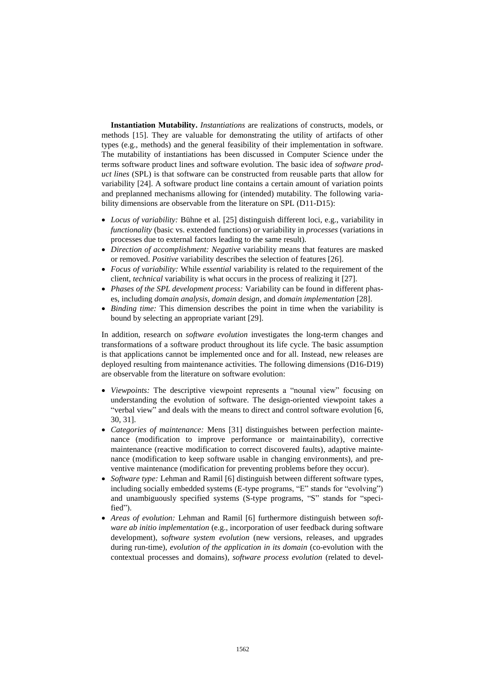**Instantiation Mutability.** *Instantiations* are realizations of constructs, models, or methods [15]. They are valuable for demonstrating the utility of artifacts of other types (e.g., methods) and the general feasibility of their implementation in software. The mutability of instantiations has been discussed in Computer Science under the terms software product lines and software evolution. The basic idea of *software product lines* (SPL) is that software can be constructed from reusable parts that allow for variability [24]. A software product line contains a certain amount of variation points and preplanned mechanisms allowing for (intended) mutability. The following variability dimensions are observable from the literature on SPL (D11-D15):

- *Locus of variability:* Bühne et al. [25] distinguish different loci, e.g., variability in *functionality* (basic vs. extended functions) or variability in *processes* (variations in processes due to external factors leading to the same result).
- *Direction of accomplishment: Negative* variability means that features are masked or removed. *Positive* variability describes the selection of features [26].
- *Focus of variability:* While *essential* variability is related to the requirement of the client, *technical* variability is what occurs in the process of realizing it [27].
- *Phases of the SPL development process:* Variability can be found in different phases, including *domain analysis*, *domain design*, and *domain implementation* [28].
- *Binding time:* This dimension describes the point in time when the variability is bound by selecting an appropriate variant [29].

In addition, research on *software evolution* investigates the long-term changes and transformations of a software product throughout its life cycle. The basic assumption is that applications cannot be implemented once and for all. Instead, new releases are deployed resulting from maintenance activities. The following dimensions (D16-D19) are observable from the literature on software evolution:

- *Viewpoints:* The descriptive viewpoint represents a "nounal view" focusing on understanding the evolution of software. The design-oriented viewpoint takes a "verbal view" and deals with the means to direct and control software evolution [6, 30, 31].
- *Categories of maintenance:* Mens [31] distinguishes between perfection maintenance (modification to improve performance or maintainability), corrective maintenance (reactive modification to correct discovered faults), adaptive maintenance (modification to keep software usable in changing environments), and preventive maintenance (modification for preventing problems before they occur).
- *Software type:* Lehman and Ramil [6] distinguish between different software types, including socially embedded systems (E-type programs, "E" stands for "evolving") and unambiguously specified systems (S-type programs, "S" stands for "specified").
- *Areas of evolution:* Lehman and Ramil [6] furthermore distinguish between *software ab initio implementation* (e.g., incorporation of user feedback during software development), s*oftware system evolution* (new versions, releases, and upgrades during run-time), *evolution of the application in its domain* (co-evolution with the contextual processes and domains)*, software process evolution* (related to devel-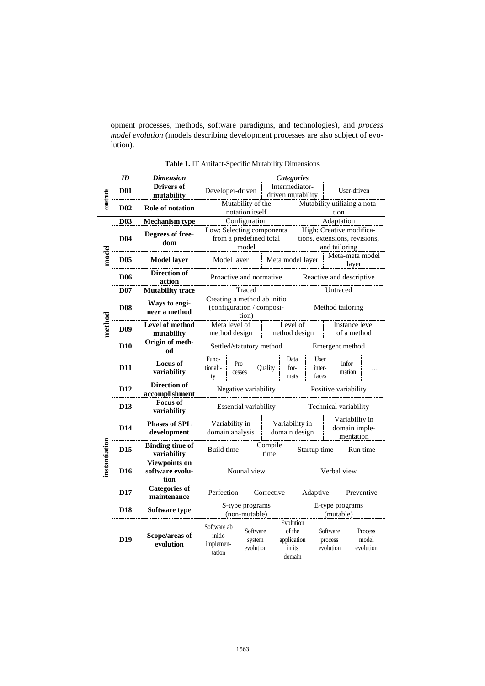opment processes, methods, software paradigms, and technologies), and *process model evolution* (models describing development processes are also subject of evolution).

<span id="page-7-0"></span>

|               | ID              | <b>Dimension</b>                                | <b>Categories</b>                                                 |                |                                 |                                                |                                                        |                                  |  |                               |
|---------------|-----------------|-------------------------------------------------|-------------------------------------------------------------------|----------------|---------------------------------|------------------------------------------------|--------------------------------------------------------|----------------------------------|--|-------------------------------|
|               | <b>D01</b>      | Drivers of<br>mutability                        | Developer-driven                                                  |                |                                 |                                                | Intermediator-<br>User-driven<br>driven mutability     |                                  |  |                               |
| constructs    | <b>D02</b>      | Role of notation                                | Mutability of the<br>notation itself                              |                |                                 |                                                | Mutability utilizing a nota-<br>tion                   |                                  |  |                               |
|               | D <sub>03</sub> | <b>Mechanism type</b>                           | Configuration                                                     |                |                                 |                                                | Adaptation                                             |                                  |  |                               |
| model         |                 |                                                 | Low: Selecting components                                         |                |                                 |                                                | High: Creative modifica-                               |                                  |  |                               |
|               | <b>D04</b>      | Degrees of free-<br>dom                         | from a predefined total<br>model                                  |                |                                 | tions, extensions, revisions,<br>and tailoring |                                                        |                                  |  |                               |
|               | <b>D05</b>      | <b>Model layer</b>                              | Model layer                                                       |                |                                 |                                                | Meta-meta model<br>Meta model layer<br>layer           |                                  |  |                               |
|               | <b>D06</b>      | <b>Direction of</b><br>action                   | Proactive and normative                                           |                |                                 |                                                | Reactive and descriptive                               |                                  |  |                               |
|               | <b>D07</b>      | <b>Mutability trace</b>                         | Traced                                                            |                |                                 |                                                | Untraced                                               |                                  |  |                               |
| method        | <b>D08</b>      | Ways to engi-<br>neer a method                  | Creating a method ab initio<br>(configuration / composi-<br>tion) |                |                                 |                                                |                                                        | Method tailoring                 |  |                               |
|               | D <sub>09</sub> | <b>Level of method</b><br>mutability            | Meta level of<br>method design                                    |                | Level of<br>method design       |                                                |                                                        | Instance level<br>of a method    |  |                               |
|               | <b>D10</b>      | Origin of meth-<br>od                           | Settled/statutory method                                          |                |                                 |                                                | Emergent method                                        |                                  |  |                               |
| instantiation | <b>D11</b>      | <b>Locus of</b><br>variability                  | Func-<br>tionali-<br>ty                                           | Pro-<br>cesses | Quality                         |                                                | Data<br>for-<br>mats                                   | User<br>inter-<br>faces          |  | Infor-<br>mation              |
|               | D <sub>12</sub> | <b>Direction of</b><br>accomplishment           | Negative variability                                              |                |                                 |                                                | Positive variability                                   |                                  |  |                               |
|               | D <sub>13</sub> | Focus of<br>variability                         | Essential variability                                             |                |                                 |                                                | Technical variability                                  |                                  |  |                               |
|               | D <sub>14</sub> | <b>Phases of SPL</b><br>development             | Variability in<br>domain analysis                                 |                |                                 | Variability in<br>domain design                | Variability in<br>domain imple-<br>mentation           |                                  |  |                               |
|               | D <sub>15</sub> | <b>Binding time of</b><br>variability           | Build time                                                        |                | Compile<br>time                 |                                                | Startup time                                           |                                  |  | Run time                      |
|               | D16             | <b>Viewpoints on</b><br>software evolu-<br>tion | Nounal view                                                       |                |                                 |                                                |                                                        | Verbal view                      |  |                               |
|               | D17             | <b>Categories of</b><br>maintenance             | Perfection                                                        |                | Corrective                      |                                                | Adaptive                                               |                                  |  | Preventive                    |
|               | D18             | Software type                                   | S-type programs<br>(non-mutable)                                  |                |                                 |                                                |                                                        | E-type programs<br>(mutable)     |  |                               |
|               | D <sub>19</sub> | Scope/areas of<br>evolution                     | Software ab<br>initio<br>implemen-<br>tation                      |                | Software<br>system<br>evolution |                                                | Evolution<br>of the<br>application<br>in its<br>domain | Software<br>process<br>evolution |  | Process<br>model<br>evolution |

**Table 1.** IT Artifact-Specific Mutability Dimensions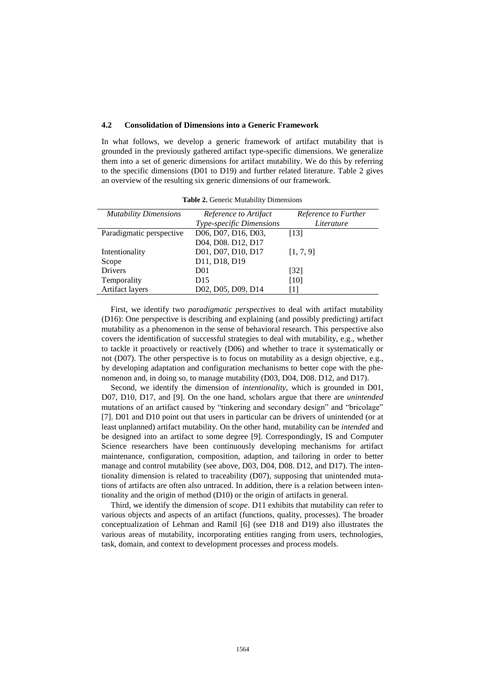#### **4.2 Consolidation of Dimensions into a Generic Framework**

In what follows, we develop a generic framework of artifact mutability that is grounded in the previously gathered artifact type-specific dimensions. We generalize them into a set of generic dimensions for artifact mutability. We do this by referring to the specific dimensions (D01 to D19) and further related literature. [Table 2](#page-8-0) gives an overview of the resulting six generic dimensions of our framework.

<span id="page-8-0"></span>

| <b>Mutability Dimensions</b> | Reference to Artifact    | Reference to Further |  |  |  |
|------------------------------|--------------------------|----------------------|--|--|--|
|                              | Type-specific Dimensions | Literature           |  |  |  |
| Paradigmatic perspective     | D06, D07, D16, D03,      | [13]                 |  |  |  |
|                              | D04, D08. D12, D17       |                      |  |  |  |
| Intentionality               | D01, D07, D10, D17       | [1, 7, 9]            |  |  |  |
| Scope                        | D11, D18, D19            |                      |  |  |  |
| <b>Drivers</b>               | D <sub>01</sub>          | [32]                 |  |  |  |
| Temporality                  | D <sub>15</sub>          | [10]                 |  |  |  |
| Artifact layers              | D02, D05, D09, D14       | [1]                  |  |  |  |

**Table 2.** Generic Mutability Dimensions

First, we identify two *paradigmatic perspectives* to deal with artifact mutability (D16): One perspective is describing and explaining (and possibly predicting) artifact mutability as a phenomenon in the sense of behavioral research. This perspective also covers the identification of successful strategies to deal with mutability, e.g., whether to tackle it proactively or reactively (D06) and whether to trace it systematically or not (D07). The other perspective is to focus on mutability as a design objective*,* e.g., by developing adaptation and configuration mechanisms to better cope with the phenomenon and, in doing so, to manage mutability (D03, D04, D08. D12, and D17).

Second, we identify the dimension of *intentionality*, which is grounded in D01, D07, D10, D17, and [9]. On the one hand, scholars argue that there are *unintended* mutations of an artifact caused by "tinkering and secondary design" and "bricolage" [7]. D01 and D10 point out that users in particular can be drivers of unintended (or at least unplanned) artifact mutability. On the other hand, mutability can be *intended* and be designed into an artifact to some degree [9]. Correspondingly, IS and Computer Science researchers have been continuously developing mechanisms for artifact maintenance, configuration, composition, adaption, and tailoring in order to better manage and control mutability (see above, D03, D04, D08. D12, and D17). The intentionality dimension is related to traceability (D07), supposing that unintended mutations of artifacts are often also untraced. In addition, there is a relation between intentionality and the origin of method (D10) or the origin of artifacts in general.

Third, we identify the dimension of *scope*. D11 exhibits that mutability can refer to various objects and aspects of an artifact (functions, quality, processes). The broader conceptualization of Lehman and Ramil [6] (see D18 and D19) also illustrates the various areas of mutability, incorporating entities ranging from users, technologies, task, domain, and context to development processes and process models.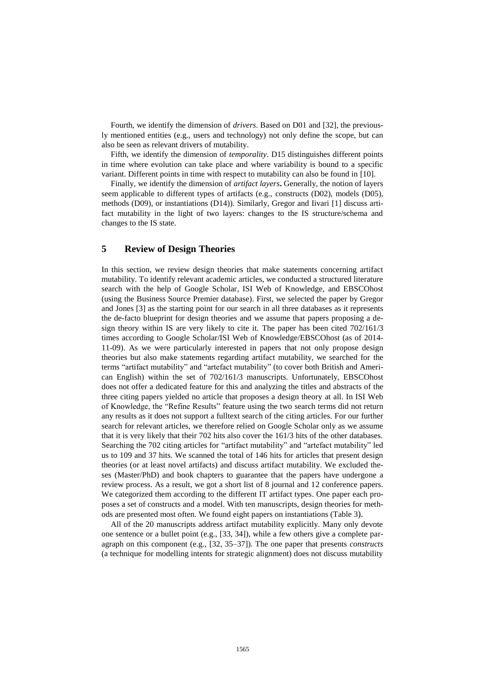Fourth, we identify the dimension of *drivers*. Based on D01 and [32], the previously mentioned entities (e.g., users and technology) not only define the scope, but can also be seen as relevant drivers of mutability.

Fifth, we identify the dimension of *temporality*. D15 distinguishes different points in time where evolution can take place and where variability is bound to a specific variant. Different points in time with respect to mutability can also be found in [10].

Finally, we identify the dimension of *artifact layers***.** Generally, the notion of layers seem applicable to different types of artifacts (e.g., constructs (D02), models (D05), methods (D09), or instantiations (D14)). Similarly, Gregor and Iivari [1] discuss artifact mutability in the light of two layers: changes to the IS structure/schema and changes to the IS state.

# **5 Review of Design Theories**

In this section, we review design theories that make statements concerning artifact mutability. To identify relevant academic articles, we conducted a structured literature search with the help of Google Scholar, ISI Web of Knowledge, and EBSCOhost (using the Business Source Premier database). First, we selected the paper by Gregor and Jones [3] as the starting point for our search in all three databases as it represents the de-facto blueprint for design theories and we assume that papers proposing a design theory within IS are very likely to cite it. The paper has been cited 702/161/3 times according to Google Scholar/ISI Web of Knowledge/EBSCOhost (as of 2014- 11-09). As we were particularly interested in papers that not only propose design theories but also make statements regarding artifact mutability, we searched for the terms "artifact mutability" and "artefact mutability" (to cover both British and American English) within the set of 702/161/3 manuscripts. Unfortunately, EBSCOhost does not offer a dedicated feature for this and analyzing the titles and abstracts of the three citing papers yielded no article that proposes a design theory at all. In ISI Web of Knowledge, the "Refine Results" feature using the two search terms did not return any results as it does not support a fulltext search of the citing articles. For our further search for relevant articles, we therefore relied on Google Scholar only as we assume that it is very likely that their 702 hits also cover the 161/3 hits of the other databases. Searching the 702 citing articles for "artifact mutability" and "artefact mutability" led us to 109 and 37 hits. We scanned the total of 146 hits for articles that present design theories (or at least novel artifacts) and discuss artifact mutability. We excluded theses (Master/PhD) and book chapters to guarantee that the papers have undergone a review process. As a result, we got a short list of 8 journal and 12 conference papers. We categorized them according to the different IT artifact types. One paper each proposes a set of constructs and a model. With ten manuscripts, design theories for methods are presented most often. We found eight papers on instantiations [\(Table 3](#page-10-0)).

All of the 20 manuscripts address artifact mutability explicitly. Many only devote one sentence or a bullet point (e.g., [33, 34]), while a few others give a complete paragraph on this component (e.g., [32, 35–37]). The one paper that presents *constructs* (a technique for modelling intents for strategic alignment) does not discuss mutability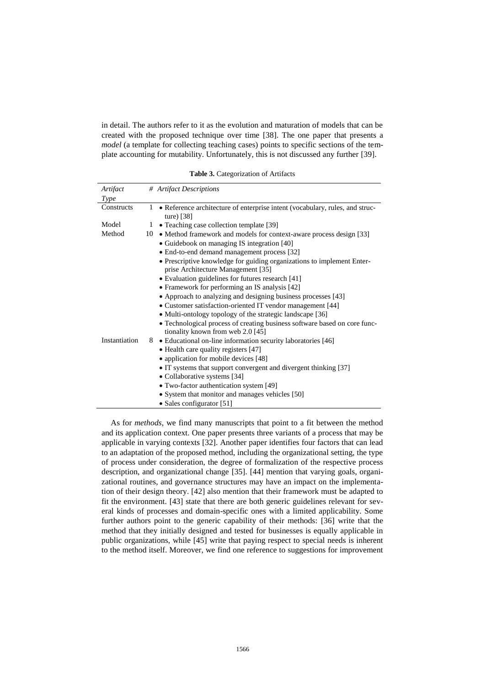in detail. The authors refer to it as the evolution and maturation of models that can be created with the proposed technique over time [38]. The one paper that presents a *model* (a template for collecting teaching cases) points to specific sections of the template accounting for mutability. Unfortunately, this is not discussed any further [39].

**Table 3.** Categorization of Artifacts

<span id="page-10-0"></span>

| Artifact      | # Artifact Descriptions                                                                                        |
|---------------|----------------------------------------------------------------------------------------------------------------|
| Type          |                                                                                                                |
| Constructs    | • Reference architecture of enterprise intent (vocabulary, rules, and struc-<br>ture) $[38]$                   |
| Model         | • Teaching case collection template [39]<br>1                                                                  |
| Method        | • Method framework and models for context-aware process design [33]<br>10                                      |
|               | • Guidebook on managing IS integration [40]                                                                    |
|               | · End-to-end demand management process [32]                                                                    |
|               | • Prescriptive knowledge for guiding organizations to implement Enter-                                         |
|               | prise Architecture Management [35]                                                                             |
|               | • Evaluation guidelines for futures research [41]                                                              |
|               | • Framework for performing an IS analysis [42]                                                                 |
|               | • Approach to analyzing and designing business processes [43]                                                  |
|               | • Customer satisfaction-oriented IT vendor management [44]                                                     |
|               | • Multi-ontology topology of the strategic landscape [36]                                                      |
|               | • Technological process of creating business software based on core func-<br>tionality known from web 2.0 [45] |
| Instantiation | • Educational on-line information security laboratories [46]<br>8                                              |
|               | • Health care quality registers [47]                                                                           |
|               | • application for mobile devices [48]                                                                          |
|               | • IT systems that support convergent and divergent thinking [37]                                               |
|               | • Collaborative systems [34]                                                                                   |
|               | • Two-factor authentication system [49]                                                                        |
|               | • System that monitor and manages vehicles [50]                                                                |
|               | • Sales configurator [51]                                                                                      |

As for *methods*, we find many manuscripts that point to a fit between the method and its application context. One paper presents three variants of a process that may be applicable in varying contexts [32]. Another paper identifies four factors that can lead to an adaptation of the proposed method, including the organizational setting, the type of process under consideration, the degree of formalization of the respective process description, and organizational change [35]. [44] mention that varying goals, organizational routines, and governance structures may have an impact on the implementation of their design theory. [42] also mention that their framework must be adapted to fit the environment. [43] state that there are both generic guidelines relevant for several kinds of processes and domain-specific ones with a limited applicability. Some further authors point to the generic capability of their methods: [36] write that the method that they initially designed and tested for businesses is equally applicable in public organizations, while [45] write that paying respect to special needs is inherent to the method itself. Moreover, we find one reference to suggestions for improvement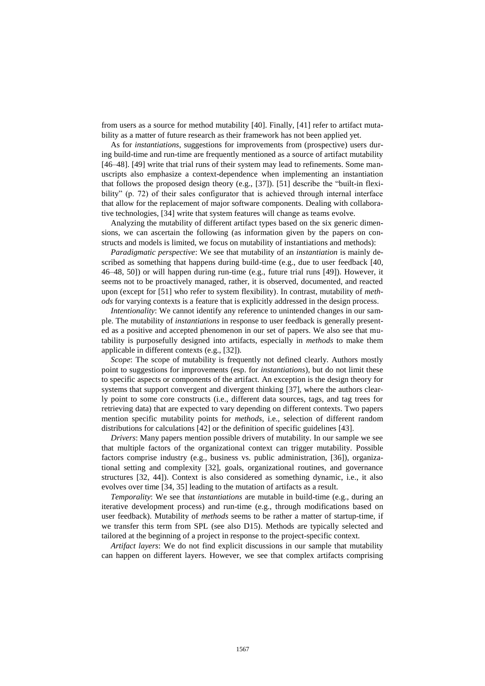from users as a source for method mutability [40]. Finally, [41] refer to artifact mutability as a matter of future research as their framework has not been applied yet.

As for *instantiations*, suggestions for improvements from (prospective) users during build-time and run-time are frequently mentioned as a source of artifact mutability [46–48]. [49] write that trial runs of their system may lead to refinements. Some manuscripts also emphasize a context-dependence when implementing an instantiation that follows the proposed design theory (e.g., [37]). [51] describe the "built-in flexibility" (p. 72) of their sales configurator that is achieved through internal interface that allow for the replacement of major software components. Dealing with collaborative technologies, [34] write that system features will change as teams evolve.

Analyzing the mutability of different artifact types based on the six generic dimensions, we can ascertain the following (as information given by the papers on constructs and models is limited, we focus on mutability of instantiations and methods):

*Paradigmatic perspective*: We see that mutability of an *instantiation* is mainly described as something that happens during build-time (e.g., due to user feedback [40, 46–48, 50]) or will happen during run-time (e.g., future trial runs [49]). However, it seems not to be proactively managed, rather, it is observed, documented, and reacted upon (except for [51] who refer to system flexibility). In contrast, mutability of *methods* for varying contexts is a feature that is explicitly addressed in the design process.

*Intentionality*: We cannot identify any reference to unintended changes in our sample. The mutability of *instantiations* in response to user feedback is generally presented as a positive and accepted phenomenon in our set of papers. We also see that mutability is purposefully designed into artifacts, especially in *methods* to make them applicable in different contexts (e.g., [32]).

*Scope*: The scope of mutability is frequently not defined clearly. Authors mostly point to suggestions for improvements (esp. for *instantiations*), but do not limit these to specific aspects or components of the artifact. An exception is the design theory for systems that support convergent and divergent thinking [37], where the authors clearly point to some core constructs (i.e., different data sources, tags, and tag trees for retrieving data) that are expected to vary depending on different contexts. Two papers mention specific mutability points for *methods*, i.e., selection of different random distributions for calculations [42] or the definition of specific guidelines [43].

*Drivers*: Many papers mention possible drivers of mutability. In our sample we see that multiple factors of the organizational context can trigger mutability. Possible factors comprise industry (e.g., business vs. public administration, [36]), organizational setting and complexity [32], goals, organizational routines, and governance structures [32, 44]). Context is also considered as something dynamic, i.e., it also evolves over time [34, 35] leading to the mutation of artifacts as a result.

*Temporality*: We see that *instantiations* are mutable in build-time (e.g., during an iterative development process) and run-time (e.g., through modifications based on user feedback). Mutability of *methods* seems to be rather a matter of startup-time, if we transfer this term from SPL (see also D15). Methods are typically selected and tailored at the beginning of a project in response to the project-specific context.

*Artifact layers*: We do not find explicit discussions in our sample that mutability can happen on different layers. However, we see that complex artifacts comprising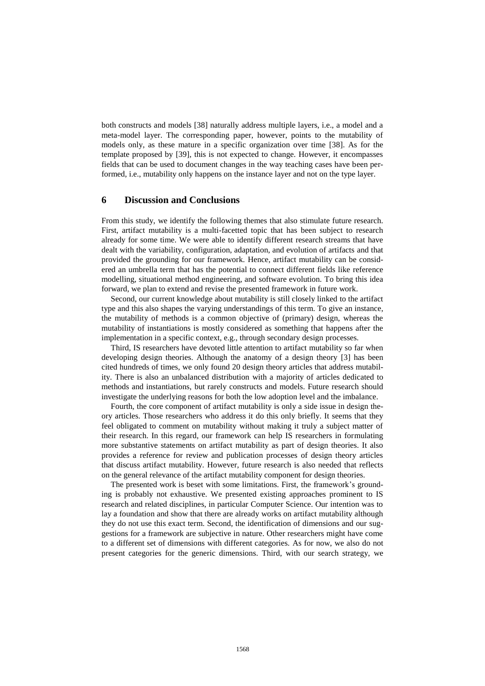both constructs and models [38] naturally address multiple layers, i.e., a model and a meta-model layer. The corresponding paper, however, points to the mutability of models only, as these mature in a specific organization over time [38]. As for the template proposed by [39], this is not expected to change. However, it encompasses fields that can be used to document changes in the way teaching cases have been performed, i.e., mutability only happens on the instance layer and not on the type layer.

### **6 Discussion and Conclusions**

From this study, we identify the following themes that also stimulate future research. First, artifact mutability is a multi-facetted topic that has been subject to research already for some time. We were able to identify different research streams that have dealt with the variability, configuration, adaptation, and evolution of artifacts and that provided the grounding for our framework. Hence, artifact mutability can be considered an umbrella term that has the potential to connect different fields like reference modelling, situational method engineering, and software evolution. To bring this idea forward, we plan to extend and revise the presented framework in future work.

Second, our current knowledge about mutability is still closely linked to the artifact type and this also shapes the varying understandings of this term. To give an instance, the mutability of methods is a common objective of (primary) design, whereas the mutability of instantiations is mostly considered as something that happens after the implementation in a specific context, e.g., through secondary design processes.

Third, IS researchers have devoted little attention to artifact mutability so far when developing design theories. Although the anatomy of a design theory [3] has been cited hundreds of times, we only found 20 design theory articles that address mutability. There is also an unbalanced distribution with a majority of articles dedicated to methods and instantiations, but rarely constructs and models. Future research should investigate the underlying reasons for both the low adoption level and the imbalance.

Fourth, the core component of artifact mutability is only a side issue in design theory articles. Those researchers who address it do this only briefly. It seems that they feel obligated to comment on mutability without making it truly a subject matter of their research. In this regard, our framework can help IS researchers in formulating more substantive statements on artifact mutability as part of design theories. It also provides a reference for review and publication processes of design theory articles that discuss artifact mutability. However, future research is also needed that reflects on the general relevance of the artifact mutability component for design theories.

The presented work is beset with some limitations. First, the framework's grounding is probably not exhaustive. We presented existing approaches prominent to IS research and related disciplines, in particular Computer Science. Our intention was to lay a foundation and show that there are already works on artifact mutability although they do not use this exact term. Second, the identification of dimensions and our suggestions for a framework are subjective in nature. Other researchers might have come to a different set of dimensions with different categories. As for now, we also do not present categories for the generic dimensions. Third, with our search strategy, we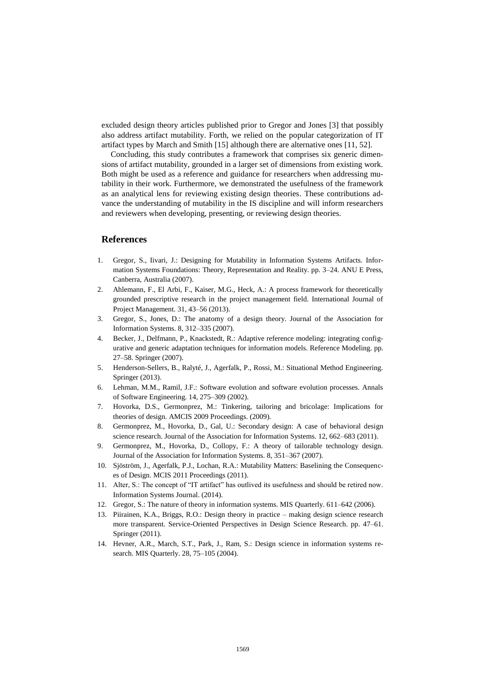excluded design theory articles published prior to Gregor and Jones [3] that possibly also address artifact mutability. Forth, we relied on the popular categorization of IT artifact types by March and Smith [15] although there are alternative ones [11, 52].

Concluding, this study contributes a framework that comprises six generic dimensions of artifact mutability, grounded in a larger set of dimensions from existing work. Both might be used as a reference and guidance for researchers when addressing mutability in their work. Furthermore, we demonstrated the usefulness of the framework as an analytical lens for reviewing existing design theories. These contributions advance the understanding of mutability in the IS discipline and will inform researchers and reviewers when developing, presenting, or reviewing design theories.

#### **References**

- 1. Gregor, S., Iivari, J.: Designing for Mutability in Information Systems Artifacts. Information Systems Foundations: Theory, Representation and Reality. pp. 3–24. ANU E Press, Canberra, Australia (2007).
- 2. Ahlemann, F., El Arbi, F., Kaiser, M.G., Heck, A.: A process framework for theoretically grounded prescriptive research in the project management field. International Journal of Project Management. 31, 43–56 (2013).
- 3. Gregor, S., Jones, D.: The anatomy of a design theory. Journal of the Association for Information Systems. 8, 312–335 (2007).
- 4. Becker, J., Delfmann, P., Knackstedt, R.: Adaptive reference modeling: integrating configurative and generic adaptation techniques for information models. Reference Modeling. pp. 27–58. Springer (2007).
- 5. Henderson-Sellers, B., Ralyté, J., Agerfalk, P., Rossi, M.: Situational Method Engineering. Springer (2013).
- 6. Lehman, M.M., Ramil, J.F.: Software evolution and software evolution processes. Annals of Software Engineering. 14, 275–309 (2002).
- 7. Hovorka, D.S., Germonprez, M.: Tinkering, tailoring and bricolage: Implications for theories of design. AMCIS 2009 Proceedings. (2009).
- 8. Germonprez, M., Hovorka, D., Gal, U.: Secondary design: A case of behavioral design science research. Journal of the Association for Information Systems. 12, 662–683 (2011).
- 9. Germonprez, M., Hovorka, D., Collopy, F.: A theory of tailorable technology design. Journal of the Association for Information Systems. 8, 351–367 (2007).
- 10. Sjöström, J., Agerfalk, P.J., Lochan, R.A.: Mutability Matters: Baselining the Consequences of Design. MCIS 2011 Proceedings (2011).
- 11. Alter, S.: The concept of "IT artifact" has outlived its usefulness and should be retired now. Information Systems Journal. (2014).
- 12. Gregor, S.: The nature of theory in information systems. MIS Quarterly. 611–642 (2006).
- 13. Piirainen, K.A., Briggs, R.O.: Design theory in practice making design science research more transparent. Service-Oriented Perspectives in Design Science Research. pp. 47–61. Springer (2011).
- 14. Hevner, A.R., March, S.T., Park, J., Ram, S.: Design science in information systems research. MIS Quarterly. 28, 75–105 (2004).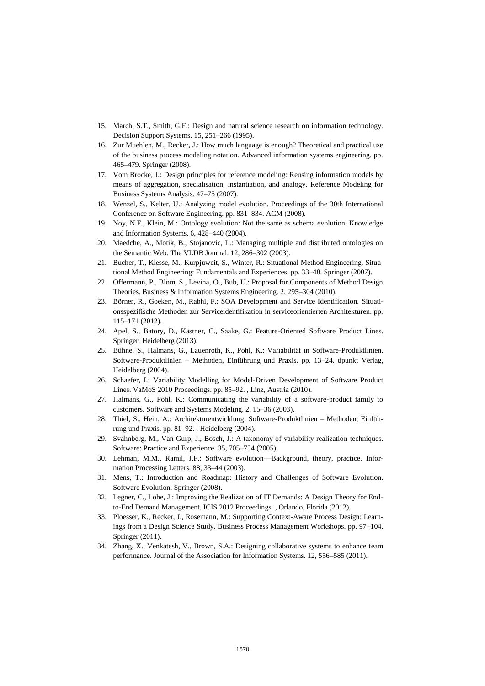- 15. March, S.T., Smith, G.F.: Design and natural science research on information technology. Decision Support Systems. 15, 251–266 (1995).
- 16. Zur Muehlen, M., Recker, J.: How much language is enough? Theoretical and practical use of the business process modeling notation. Advanced information systems engineering. pp. 465–479. Springer (2008).
- 17. Vom Brocke, J.: Design principles for reference modeling: Reusing information models by means of aggregation, specialisation, instantiation, and analogy. Reference Modeling for Business Systems Analysis. 47–75 (2007).
- 18. Wenzel, S., Kelter, U.: Analyzing model evolution. Proceedings of the 30th International Conference on Software Engineering. pp. 831–834. ACM (2008).
- 19. Noy, N.F., Klein, M.: Ontology evolution: Not the same as schema evolution. Knowledge and Information Systems. 6, 428–440 (2004).
- 20. Maedche, A., Motik, B., Stojanovic, L.: Managing multiple and distributed ontologies on the Semantic Web. The VLDB Journal. 12, 286–302 (2003).
- 21. Bucher, T., Klesse, M., Kurpjuweit, S., Winter, R.: Situational Method Engineering. Situational Method Engineering: Fundamentals and Experiences. pp. 33–48. Springer (2007).
- 22. Offermann, P., Blom, S., Levina, O., Bub, U.: Proposal for Components of Method Design Theories. Business & Information Systems Engineering. 2, 295–304 (2010).
- 23. Börner, R., Goeken, M., Rabhi, F.: SOA Development and Service Identification. Situationsspezifische Methoden zur Serviceidentifikation in serviceorientierten Architekturen. pp. 115–171 (2012).
- 24. Apel, S., Batory, D., Kästner, C., Saake, G.: Feature-Oriented Software Product Lines. Springer, Heidelberg (2013).
- 25. Bühne, S., Halmans, G., Lauenroth, K., Pohl, K.: Variabilität in Software-Produktlinien. Software-Produktlinien – Methoden, Einführung und Praxis. pp. 13–24. dpunkt Verlag, Heidelberg (2004).
- 26. Schaefer, I.: Variability Modelling for Model-Driven Development of Software Product Lines. VaMoS 2010 Proceedings. pp. 85–92. , Linz, Austria (2010).
- 27. Halmans, G., Pohl, K.: Communicating the variability of a software-product family to customers. Software and Systems Modeling. 2, 15–36 (2003).
- 28. Thiel, S., Hein, A.: Architekturentwicklung. Software-Produktlinien Methoden, Einführung und Praxis. pp. 81–92. , Heidelberg (2004).
- 29. Svahnberg, M., Van Gurp, J., Bosch, J.: A taxonomy of variability realization techniques. Software: Practice and Experience. 35, 705–754 (2005).
- 30. Lehman, M.M., Ramil, J.F.: Software evolution—Background, theory, practice. Information Processing Letters. 88, 33–44 (2003).
- 31. Mens, T.: Introduction and Roadmap: History and Challenges of Software Evolution. Software Evolution. Springer (2008).
- 32. Legner, C., Löhe, J.: Improving the Realization of IT Demands: A Design Theory for Endto-End Demand Management. ICIS 2012 Proceedings. , Orlando, Florida (2012).
- 33. Ploesser, K., Recker, J., Rosemann, M.: Supporting Context-Aware Process Design: Learnings from a Design Science Study. Business Process Management Workshops. pp. 97–104. Springer (2011).
- 34. Zhang, X., Venkatesh, V., Brown, S.A.: Designing collaborative systems to enhance team performance. Journal of the Association for Information Systems. 12, 556–585 (2011).